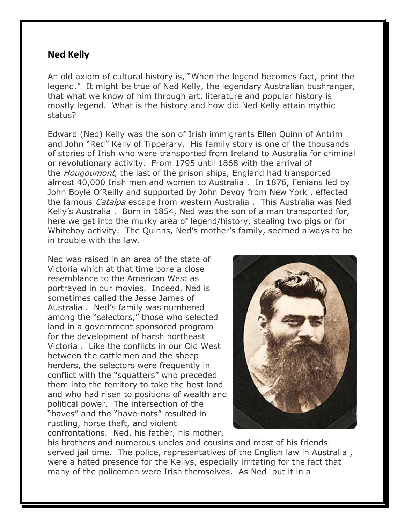## **Ned Kelly**

An old axiom of cultural history is, "When the legend becomes fact, print the legend." It might be true of Ned Kelly, the legendary Australian bushranger, that what we know of him through art, literature and popular history is mostly legend. What is the history and how did Ned Kelly attain mythic status?

Edward (Ned) Kelly was the son of Irish immigrants Ellen Quinn of Antrim and John "Red" Kelly of Tipperary. His family story is one of the thousands of stories of Irish who were transported from Ireland to Australia for criminal or revolutionary activity. From 1795 until 1868 with the arrival of the *Hougoumont*, the last of the prison ships, England had transported almost 40,000 Irish men and women to Australia . In 1876, Fenians led by John Boyle O'Reilly and supported by John Devoy from New York , effected the famous *Catalpa* escape from western Australia . This Australia was Ned Kelly's Australia . Born in 1854, Ned was the son of a man transported for, here we get into the murky area of legend/history, stealing two pigs or for Whiteboy activity. The Quinns, Ned's mother's family, seemed always to be in trouble with the law.

Ned was raised in an area of the state of Victoria which at that time bore a close resemblance to the American West as portrayed in our movies. Indeed, Ned is sometimes called the Jesse James of Australia . Ned's family was numbered among the "selectors," those who selected land in a government sponsored program for the development of harsh northeast Victoria . Like the conflicts in our Old West between the cattlemen and the sheep herders, the selectors were frequently in conflict with the "squatters" who preceded them into the territory to take the best land and who had risen to positions of wealth and political power. The intersection of the "haves" and the "have-nots" resulted in rustling, horse theft, and violent confrontations. Ned, his father, his mother,



his brothers and numerous uncles and cousins and most of his friends served jail time. The police, representatives of the English law in Australia , were a hated presence for the Kellys, especially irritating for the fact that many of the policemen were Irish themselves. As Ned put it in a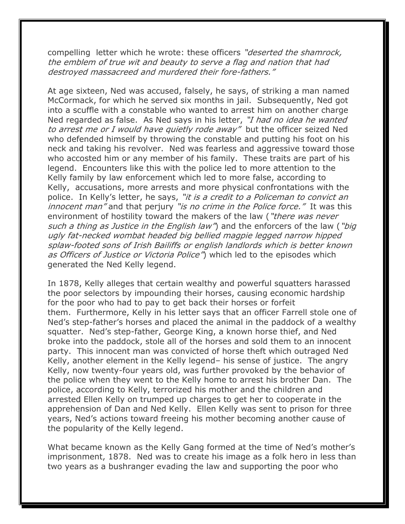compelling letter which he wrote: these officers "*deserted the shamrock*, the emblem of true wit and beauty to serve a flag and nation that had destroyed massacreed and murdered their fore-fathers."

At age sixteen, Ned was accused, falsely, he says, of striking a man named McCormack, for which he served six months in jail. Subsequently, Ned got into a scuffle with a constable who wanted to arrest him on another charge Ned regarded as false. As Ned says in his letter, "I had no idea he wanted to arrest me or I would have quietly rode away" but the officer seized Ned who defended himself by throwing the constable and putting his foot on his neck and taking his revolver. Ned was fearless and aggressive toward those who accosted him or any member of his family. These traits are part of his legend. Encounters like this with the police led to more attention to the Kelly family by law enforcement which led to more false, according to Kelly, accusations, more arrests and more physical confrontations with the police. In Kelly's letter, he says, "it is a credit to a Policeman to convict an innocent man" and that perjury "is no crime in the Police force." It was this environment of hostility toward the makers of the law ("there was never such a thing as Justice in the English law") and the enforcers of the law ("big ugly fat-necked wombat headed big bellied magpie legged narrow hipped splaw-footed sons of Irish Bailiffs or english landlords which is better known as Officers of Justice or Victoria Police") which led to the episodes which generated the Ned Kelly legend.

In 1878, Kelly alleges that certain wealthy and powerful squatters harassed the poor selectors by impounding their horses, causing economic hardship for the poor who had to pay to get back their horses or forfeit them. Furthermore, Kelly in his letter says that an officer Farrell stole one of Ned's step-father's horses and placed the animal in the paddock of a wealthy squatter. Ned's step-father, George King, a known horse thief, and Ned broke into the paddock, stole all of the horses and sold them to an innocent party. This innocent man was convicted of horse theft which outraged Ned Kelly, another element in the Kelly legend– his sense of justice. The angry Kelly, now twenty-four years old, was further provoked by the behavior of the police when they went to the Kelly home to arrest his brother Dan. The police, according to Kelly, terrorized his mother and the children and arrested Ellen Kelly on trumped up charges to get her to cooperate in the apprehension of Dan and Ned Kelly. Ellen Kelly was sent to prison for three years, Ned's actions toward freeing his mother becoming another cause of the popularity of the Kelly legend.

What became known as the Kelly Gang formed at the time of Ned's mother's imprisonment, 1878. Ned was to create his image as a folk hero in less than two years as a bushranger evading the law and supporting the poor who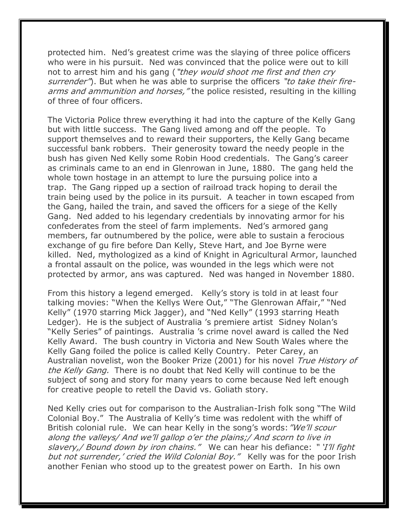protected him. Ned's greatest crime was the slaying of three police officers who were in his pursuit. Ned was convinced that the police were out to kill not to arrest him and his gang ("they would shoot me first and then cry surrender"). But when he was able to surprise the officers "to take their firearms and ammunition and horses, "the police resisted, resulting in the killing of three of four officers.

The Victoria Police threw everything it had into the capture of the Kelly Gang but with little success. The Gang lived among and off the people. To support themselves and to reward their supporters, the Kelly Gang became successful bank robbers. Their generosity toward the needy people in the bush has given Ned Kelly some Robin Hood credentials. The Gang's career as criminals came to an end in Glenrowan in June, 1880. The gang held the whole town hostage in an attempt to lure the pursuing police into a trap. The Gang ripped up a section of railroad track hoping to derail the train being used by the police in its pursuit. A teacher in town escaped from the Gang, hailed the train, and saved the officers for a siege of the Kelly Gang. Ned added to his legendary credentials by innovating armor for his confederates from the steel of farm implements. Ned's armored gang members, far outnumbered by the police, were able to sustain a ferocious exchange of gu fire before Dan Kelly, Steve Hart, and Joe Byrne were killed. Ned, mythologized as a kind of Knight in Agricultural Armor, launched a frontal assault on the police, was wounded in the legs which were not protected by armor, ans was captured. Ned was hanged in November 1880.

From this history a legend emerged. Kelly's story is told in at least four talking movies: "When the Kellys Were Out," "The Glenrowan Affair," "Ned Kelly" (1970 starring Mick Jagger), and "Ned Kelly" (1993 starring Heath Ledger). He is the subject of Australia 's premiere artist Sidney Nolan's "Kelly Series" of paintings. Australia 's crime novel award is called the Ned Kelly Award. The bush country in Victoria and New South Wales where the Kelly Gang foiled the police is called Kelly Country. Peter Carey, an Australian novelist, won the Booker Prize (2001) for his novel True History of the Kelly Gang. There is no doubt that Ned Kelly will continue to be the subject of song and story for many years to come because Ned left enough for creative people to retell the David vs. Goliath story.

Ned Kelly cries out for comparison to the Australian-Irish folk song "The Wild Colonial Boy." The Australia of Kelly's time was redolent with the whiff of British colonial rule. We can hear Kelly in the song's words: "We'll scour along the valleys/ And we'll gallop o'er the plains;/ And scorn to live in slavery, / Bound down by iron chains." We can hear his defiance: "I'll fight but not surrender,' cried the Wild Colonial Boy." Kelly was for the poor Irish another Fenian who stood up to the greatest power on Earth. In his own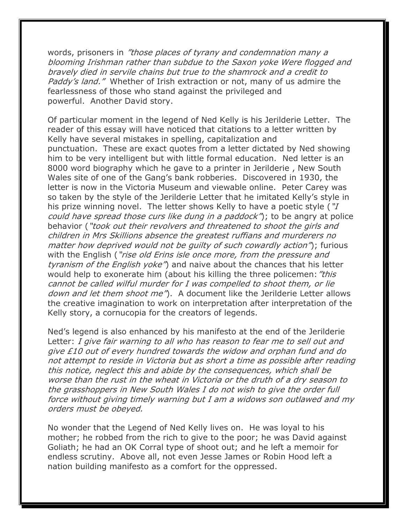words, prisoners in "those places of tyrany and condemnation many a blooming Irishman rather than subdue to the Saxon yoke Were flogged and bravely died in servile chains but true to the shamrock and a credit to Paddy's land." Whether of Irish extraction or not, many of us admire the fearlessness of those who stand against the privileged and powerful. Another David story.

Of particular moment in the legend of Ned Kelly is his Jerilderie Letter. The reader of this essay will have noticed that citations to a letter written by Kelly have several mistakes in spelling, capitalization and punctuation. These are exact quotes from a letter dictated by Ned showing him to be very intelligent but with little formal education. Ned letter is an 8000 word biography which he gave to a printer in Jerilderie , New South Wales site of one of the Gang's bank robberies. Discovered in 1930, the letter is now in the Victoria Museum and viewable online. Peter Carey was so taken by the style of the Jerilderie Letter that he imitated Kelly's style in his prize winning novel. The letter shows Kelly to have a poetic style ("I could have spread those curs like dung in a paddock"); to be angry at police behavior ("took out their revolvers and threatened to shoot the girls and children in Mrs Skillions absence the greatest ruffians and murderers no matter how deprived would not be quilty of such cowardly action"); furious with the English ("rise old Erins isle once more, from the pressure and tyranism of the English yoke") and naive about the chances that his letter would help to exonerate him (about his killing the three policemen: "this cannot be called wilful murder for I was compelled to shoot them, or lie down and let them shoot me<sup>"</sup>). A document like the Jerilderie Letter allows the creative imagination to work on interpretation after interpretation of the Kelly story, a cornucopia for the creators of legends.

Ned's legend is also enhanced by his manifesto at the end of the Jerilderie Letter: I give fair warning to all who has reason to fear me to sell out and give £10 out of every hundred towards the widow and orphan fund and do not attempt to reside in Victoria but as short a time as possible after reading this notice, neglect this and abide by the consequences, which shall be worse than the rust in the wheat in Victoria or the druth of a dry season to the grasshoppers in New South Wales I do not wish to give the order full force without giving timely warning but I am a widows son outlawed and my orders must be obeyed.

No wonder that the Legend of Ned Kelly lives on. He was loyal to his mother; he robbed from the rich to give to the poor; he was David against Goliath; he had an OK Corral type of shoot out; and he left a memoir for endless scrutiny. Above all, not even Jesse James or Robin Hood left a nation building manifesto as a comfort for the oppressed.